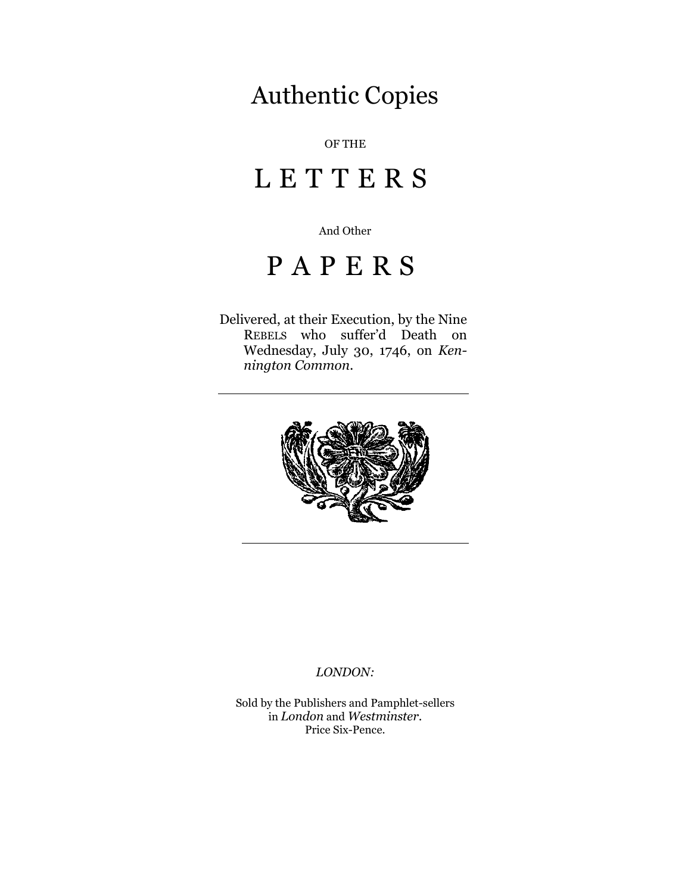# Authentic Copies

## OF THE

# L E T T E R S

And Other

# P A P E R S

Delivered, at their Execution, by the Nine REBELS who suffer'd Death on Wednesday, July 30, 1746, on *Kennington Common.*



#### *LONDON:*

Sold by the Publishers and Pamphlet-sellers in *London* and *Westminster*. Price Six-Pence.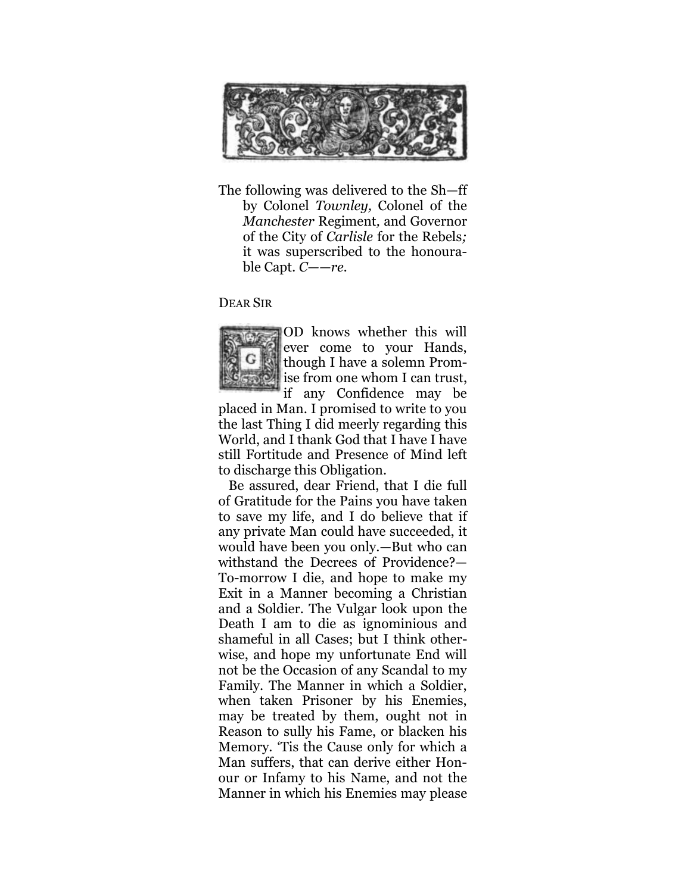

The following was delivered to the Sh—ff by Colonel *Townley,* Colonel of the *Manchester* Regiment*,* and Governor of the City of *Carlisle* for the Rebels*;*  it was superscribed to the honourable Capt*. C——re.*

### DEAR SIR



OD knows whether this will ever come to your Hands, though I have a solemn Promise from one whom I can trust,

if any Confidence may be placed in Man. I promised to write to you the last Thing I did meerly regarding this World, and I thank God that I have I have still Fortitude and Presence of Mind left to discharge this Obligation.

Be assured, dear Friend, that I die full of Gratitude for the Pains you have taken to save my life, and I do believe that if any private Man could have succeeded, it would have been you only.—But who can withstand the Decrees of Providence?— To-morrow I die, and hope to make my Exit in a Manner becoming a Christian and a Soldier. The Vulgar look upon the Death I am to die as ignominious and shameful in all Cases; but I think otherwise, and hope my unfortunate End will not be the Occasion of any Scandal to my Family. The Manner in which a Soldier, when taken Prisoner by his Enemies, may be treated by them, ought not in Reason to sully his Fame, or blacken his Memory. 'Tis the Cause only for which a Man suffers, that can derive either Honour or Infamy to his Name, and not the Manner in which his Enemies may please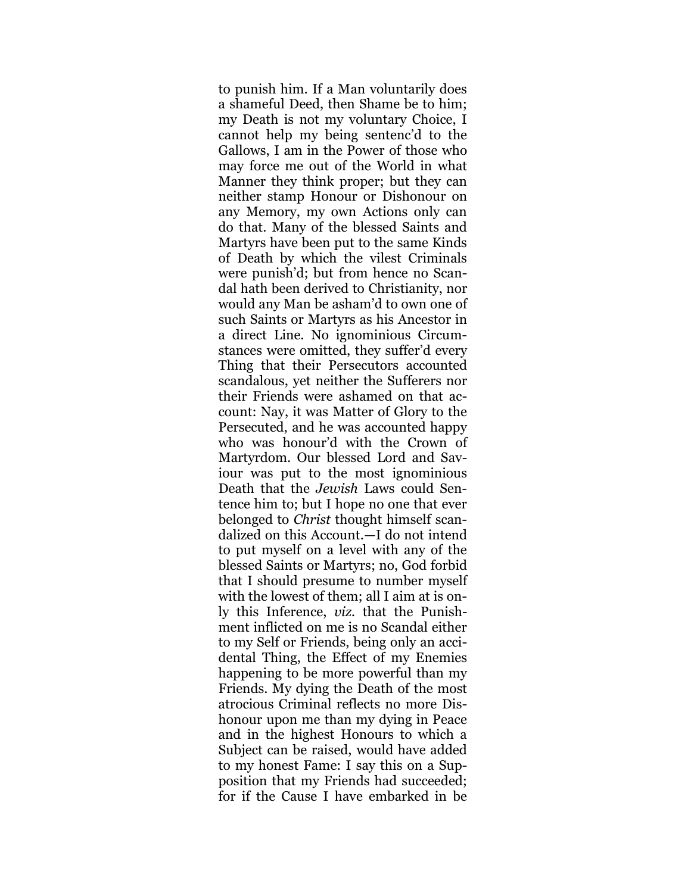to punish him. If a Man voluntarily does a shameful Deed, then Shame be to him; my Death is not my voluntary Choice, I cannot help my being sentenc'd to the Gallows, I am in the Power of those who may force me out of the World in what Manner they think proper; but they can neither stamp Honour or Dishonour on any Memory, my own Actions only can do that. Many of the blessed Saints and Martyrs have been put to the same Kinds of Death by which the vilest Criminals were punish'd; but from hence no Scandal hath been derived to Christianity, nor would any Man be asham'd to own one of such Saints or Martyrs as his Ancestor in a direct Line. No ignominious Circumstances were omitted, they suffer'd every Thing that their Persecutors accounted scandalous, yet neither the Sufferers nor their Friends were ashamed on that account: Nay, it was Matter of Glory to the Persecuted, and he was accounted happy who was honour'd with the Crown of Martyrdom. Our blessed Lord and Saviour was put to the most ignominious Death that the *Jewish* Laws could Sentence him to; but I hope no one that ever belonged to *Christ* thought himself scandalized on this Account.—I do not intend to put myself on a level with any of the blessed Saints or Martyrs; no, God forbid that I should presume to number myself with the lowest of them; all I aim at is only this Inference, *viz.* that the Punishment inflicted on me is no Scandal either to my Self or Friends, being only an accidental Thing, the Effect of my Enemies happening to be more powerful than my Friends. My dying the Death of the most atrocious Criminal reflects no more Dishonour upon me than my dying in Peace and in the highest Honours to which a Subject can be raised, would have added to my honest Fame: I say this on a Supposition that my Friends had succeeded; for if the Cause I have embarked in be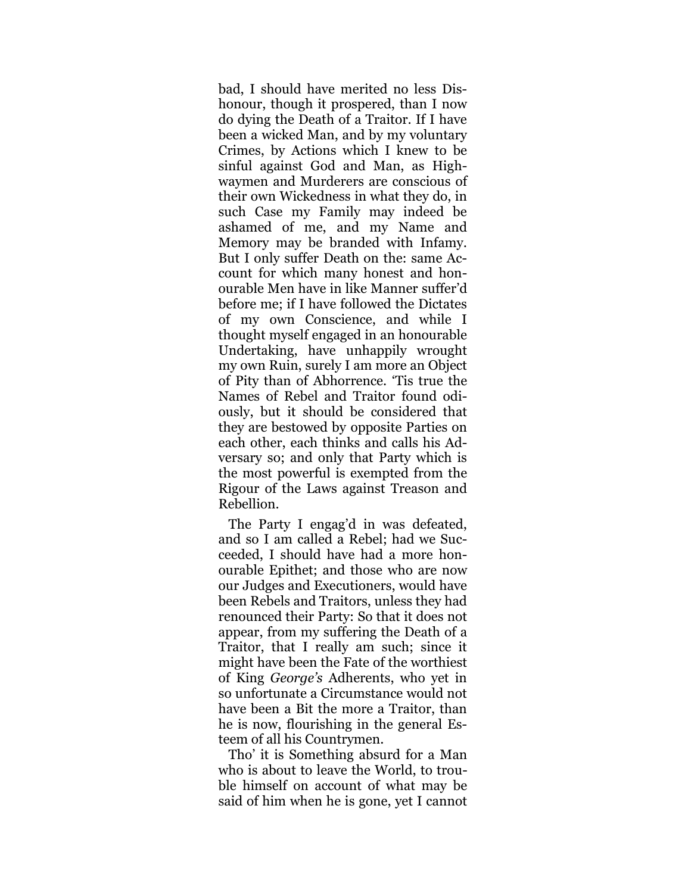bad, I should have merited no less Dishonour, though it prospered, than I now do dying the Death of a Traitor. If I have been a wicked Man, and by my voluntary Crimes, by Actions which I knew to be sinful against God and Man, as Highwaymen and Murderers are conscious of their own Wickedness in what they do, in such Case my Family may indeed be ashamed of me, and my Name and Memory may be branded with Infamy. But I only suffer Death on the: same Account for which many honest and honourable Men have in like Manner suffer'd before me; if I have followed the Dictates of my own Conscience, and while I thought myself engaged in an honourable Undertaking, have unhappily wrought my own Ruin, surely I am more an Object of Pity than of Abhorrence. 'Tis true the Names of Rebel and Traitor found odiously, but it should be considered that they are bestowed by opposite Parties on each other, each thinks and calls his Adversary so; and only that Party which is the most powerful is exempted from the Rigour of the Laws against Treason and Rebellion.

The Party I engag'd in was defeated, and so I am called a Rebel; had we Succeeded, I should have had a more honourable Epithet; and those who are now our Judges and Executioners, would have been Rebels and Traitors, unless they had renounced their Party: So that it does not appear, from my suffering the Death of a Traitor, that I really am such; since it might have been the Fate of the worthiest of King *George's* Adherents, who yet in so unfortunate a Circumstance would not have been a Bit the more a Traitor, than he is now, flourishing in the general Esteem of all his Countrymen.

Tho' it is Something absurd for a Man who is about to leave the World, to trouble himself on account of what may be said of him when he is gone, yet I cannot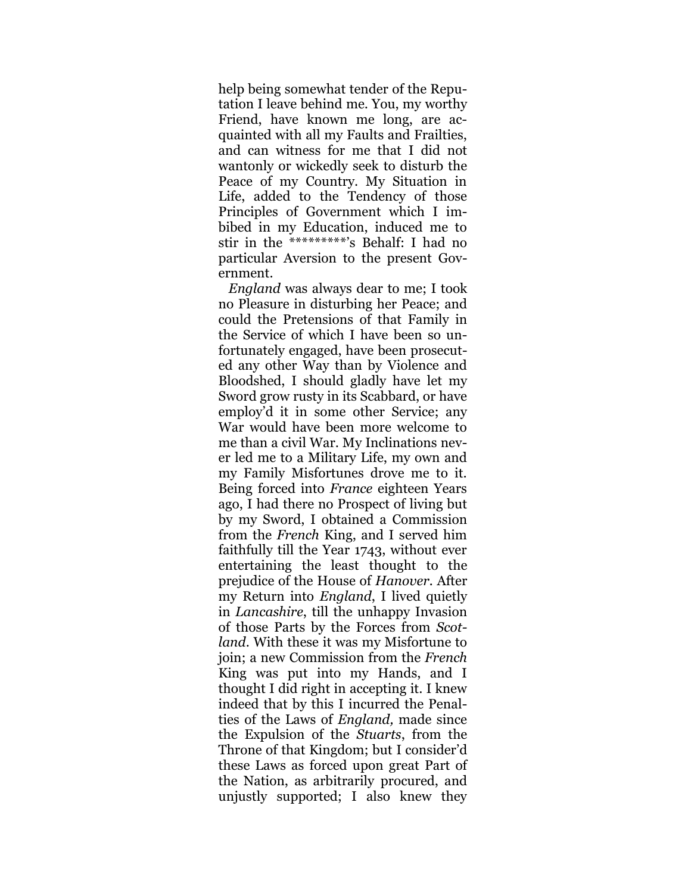help being somewhat tender of the Reputation I leave behind me. You, my worthy Friend, have known me long, are acquainted with all my Faults and Frailties, and can witness for me that I did not wantonly or wickedly seek to disturb the Peace of my Country. My Situation in Life, added to the Tendency of those Principles of Government which I imbibed in my Education, induced me to stir in the \*\*\*\*\*\*\*\*\*'s Behalf: I had no particular Aversion to the present Government.

*England* was always dear to me; I took no Pleasure in disturbing her Peace; and could the Pretensions of that Family in the Service of which I have been so unfortunately engaged, have been prosecuted any other Way than by Violence and Bloodshed, I should gladly have let my Sword grow rusty in its Scabbard, or have employ'd it in some other Service; any War would have been more welcome to me than a civil War. My Inclinations never led me to a Military Life, my own and my Family Misfortunes drove me to it. Being forced into *France* eighteen Years ago, I had there no Prospect of living but by my Sword, I obtained a Commission from the *French* King, and I served him faithfully till the Year 1743, without ever entertaining the least thought to the prejudice of the House of *Hanover.* After my Return into *England*, I lived quietly in *Lancashire*, till the unhappy Invasion of those Parts by the Forces from *Scotland*. With these it was my Misfortune to join; a new Commission from the *French* King was put into my Hands, and I thought I did right in accepting it. I knew indeed that by this I incurred the Penalties of the Laws of *England,* made since the Expulsion of the *Stuarts*, from the Throne of that Kingdom; but I consider'd these Laws as forced upon great Part of the Nation, as arbitrarily procured, and unjustly supported; I also knew they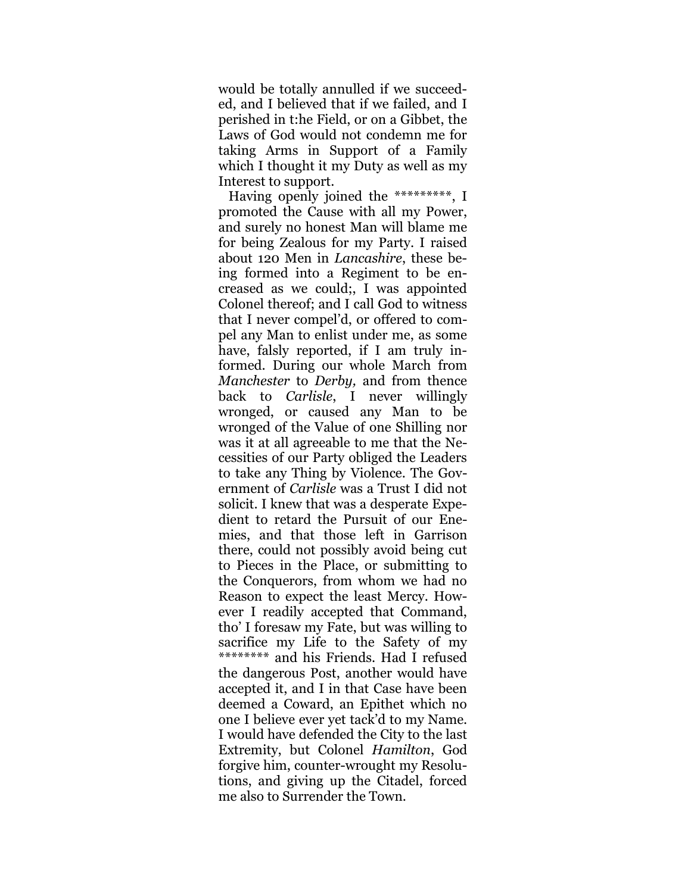would be totally annulled if we succeeded, and I believed that if we failed, and I perished in t:he Field, or on a Gibbet, the Laws of God would not condemn me for taking Arms in Support of a Family which I thought it my Duty as well as my Interest to support.

Having openly joined the \*\*\*\*\*\*\*\*\*, I promoted the Cause with all my Power, and surely no honest Man will blame me for being Zealous for my Party. I raised about 120 Men in *Lancashire*, these being formed into a Regiment to be encreased as we could;, I was appointed Colonel thereof; and I call God to witness that I never compel'd, or offered to compel any Man to enlist under me, as some have, falsly reported, if I am truly informed. During our whole March from *Manchester* to *Derby,* and from thence back to *Carlisle*, I never willingly wronged, or caused any Man to be wronged of the Value of one Shilling nor was it at all agreeable to me that the Necessities of our Party obliged the Leaders to take any Thing by Violence. The Government of *Carlisle* was a Trust I did not solicit. I knew that was a desperate Expedient to retard the Pursuit of our Enemies, and that those left in Garrison there, could not possibly avoid being cut to Pieces in the Place, or submitting to the Conquerors, from whom we had no Reason to expect the least Mercy. However I readily accepted that Command, tho' I foresaw my Fate, but was willing to sacrifice my Life to the Safety of my \*\*\*\*\*\*\*\* and his Friends. Had I refused the dangerous Post, another would have accepted it, and I in that Case have been deemed a Coward, an Epithet which no one I believe ever yet tack'd to my Name. I would have defended the City to the last Extremity, but Colonel *Hamilton*, God forgive him, counter-wrought my Resolutions, and giving up the Citadel, forced me also to Surrender the Town.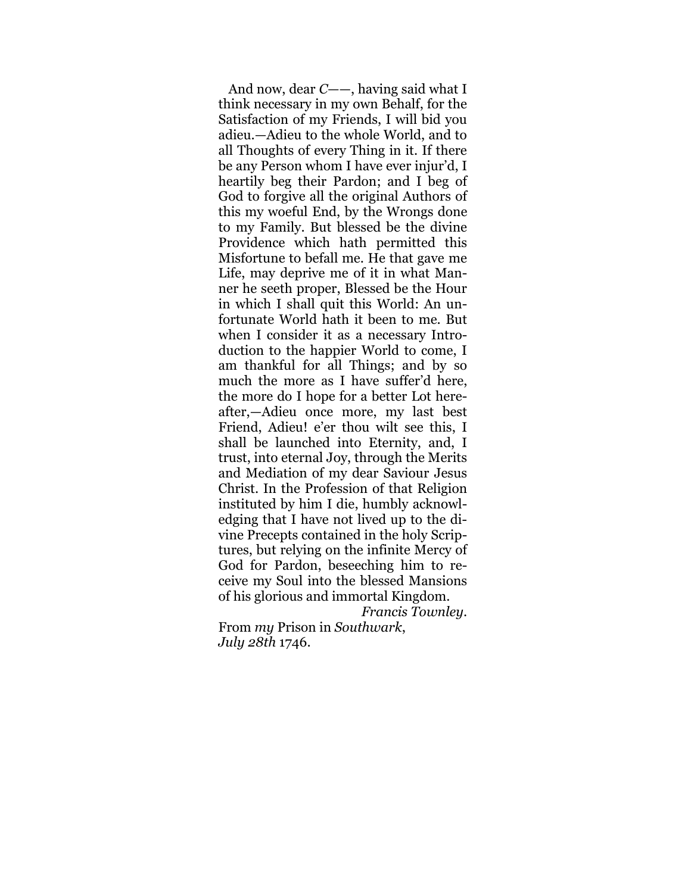And now, dear *C*——, having said what I think necessary in my own Behalf, for the Satisfaction of my Friends, I will bid you adieu.—Adieu to the whole World, and to all Thoughts of every Thing in it. If there be any Person whom I have ever injur'd, I heartily beg their Pardon; and I beg of God to forgive all the original Authors of this my woeful End, by the Wrongs done to my Family. But blessed be the divine Providence which hath permitted this Misfortune to befall me. He that gave me Life, may deprive me of it in what Manner he seeth proper, Blessed be the Hour in which I shall quit this World: An unfortunate World hath it been to me. But when I consider it as a necessary Introduction to the happier World to come, I am thankful for all Things; and by so much the more as I have suffer'd here, the more do I hope for a better Lot hereafter,—Adieu once more, my last best Friend, Adieu! e'er thou wilt see this, I shall be launched into Eternity, and, I trust, into eternal Joy, through the Merits and Mediation of my dear Saviour Jesus Christ. In the Profession of that Religion instituted by him I die, humbly acknowledging that I have not lived up to the divine Precepts contained in the holy Scriptures, but relying on the infinite Mercy of God for Pardon, beseeching him to receive my Soul into the blessed Mansions of his glorious and immortal Kingdom.

*Francis Townley*.

From *my* Prison in *Southwark*, *July 28th* 1746.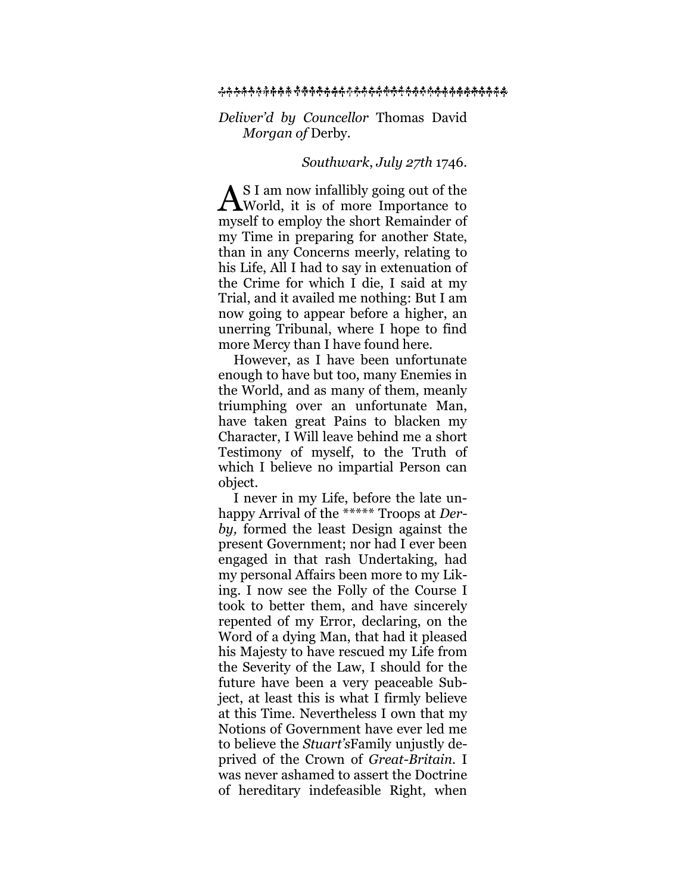#### ዹ፞ጙ<del>ኯ፞ኯ፞ኯኯኯኯኯኯኯኯኯኯኯኯኯኯኯኯኯኯኯኯኯኯኯ</del>ኯኯኯኯኯኯኯኯ<del>ኯ</del>

#### *Deliver'd by Councellor* Thomas David *Morgan of* Derby*.*

#### *Southwark*, *July 27th* 1746.

S I am now infallibly going out of the  $A^{S I \text{ am now infallibly going out of the}}$ myself to employ the short Remainder of my Time in preparing for another State, than in any Concerns meerly, relating to his Life, All I had to say in extenuation of the Crime for which I die, I said at my Trial, and it availed me nothing: But I am now going to appear before a higher, an unerring Tribunal, where I hope to find more Mercy than I have found here.

However, as I have been unfortunate enough to have but too, many Enemies in the World, and as many of them, meanly triumphing over an unfortunate Man, have taken great Pains to blacken my Character, I Will leave behind me a short Testimony of myself, to the Truth of which I believe no impartial Person can object.

I never in my Life, before the late unhappy Arrival of the \*\*\*\*\* Troops at *Derby,* formed the least Design against the present Government; nor had I ever been engaged in that rash Undertaking, had my personal Affairs been more to my Liking. I now see the Folly of the Course I took to better them, and have sincerely repented of my Error, declaring, on the Word of a dying Man, that had it pleased his Majesty to have rescued my Life from the Severity of the Law, I should for the future have been a very peaceable Subject, at least this is what I firmly believe at this Time. Nevertheless I own that my Notions of Government have ever led me to believe the *Stuart's*Family unjustly deprived of the Crown of *Great-Britain.* I was never ashamed to assert the Doctrine of hereditary indefeasible Right, when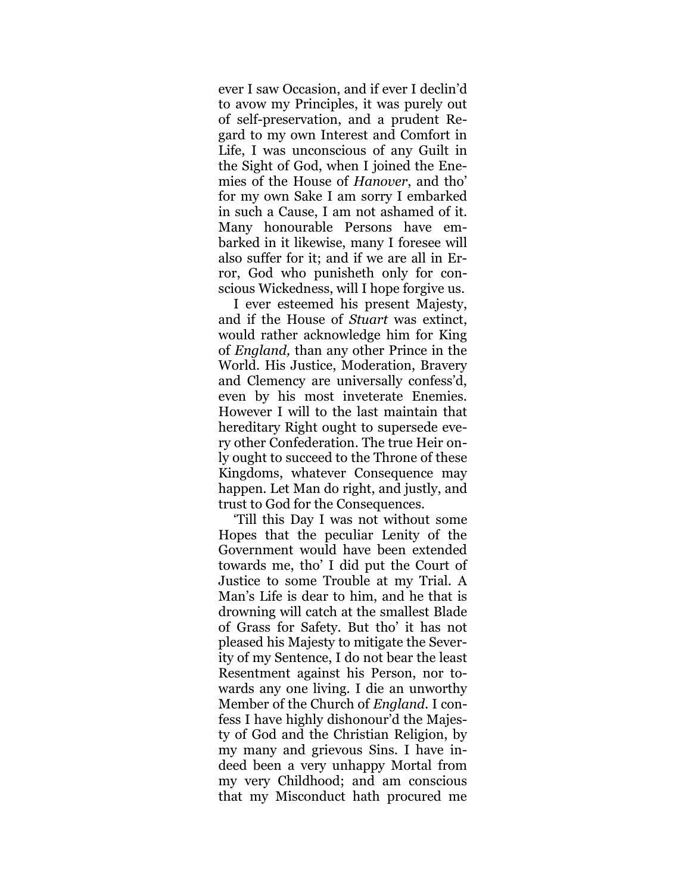ever I saw Occasion, and if ever I declin'd to avow my Principles, it was purely out of self-preservation, and a prudent Regard to my own Interest and Comfort in Life, I was unconscious of any Guilt in the Sight of God, when I joined the Enemies of the House of *Hanover*, and tho' for my own Sake I am sorry I embarked in such a Cause, I am not ashamed of it. Many honourable Persons have embarked in it likewise, many I foresee will also suffer for it; and if we are all in Error, God who punisheth only for conscious Wickedness, will I hope forgive us.

I ever esteemed his present Majesty, and if the House of *Stuart* was extinct, would rather acknowledge him for King of *England,* than any other Prince in the World. His Justice, Moderation, Bravery and Clemency are universally confess'd, even by his most inveterate Enemies. However I will to the last maintain that hereditary Right ought to supersede every other Confederation. The true Heir only ought to succeed to the Throne of these Kingdoms, whatever Consequence may happen. Let Man do right, and justly, and trust to God for the Consequences.

'Till this Day I was not without some Hopes that the peculiar Lenity of the Government would have been extended towards me, tho' I did put the Court of Justice to some Trouble at my Trial. A Man's Life is dear to him, and he that is drowning will catch at the smallest Blade of Grass for Safety. But tho' it has not pleased his Majesty to mitigate the Severity of my Sentence, I do not bear the least Resentment against his Person, nor towards any one living. I die an unworthy Member of the Church of *England.* I confess I have highly dishonour'd the Majesty of God and the Christian Religion, by my many and grievous Sins. I have indeed been a very unhappy Mortal from my very Childhood; and am conscious that my Misconduct hath procured me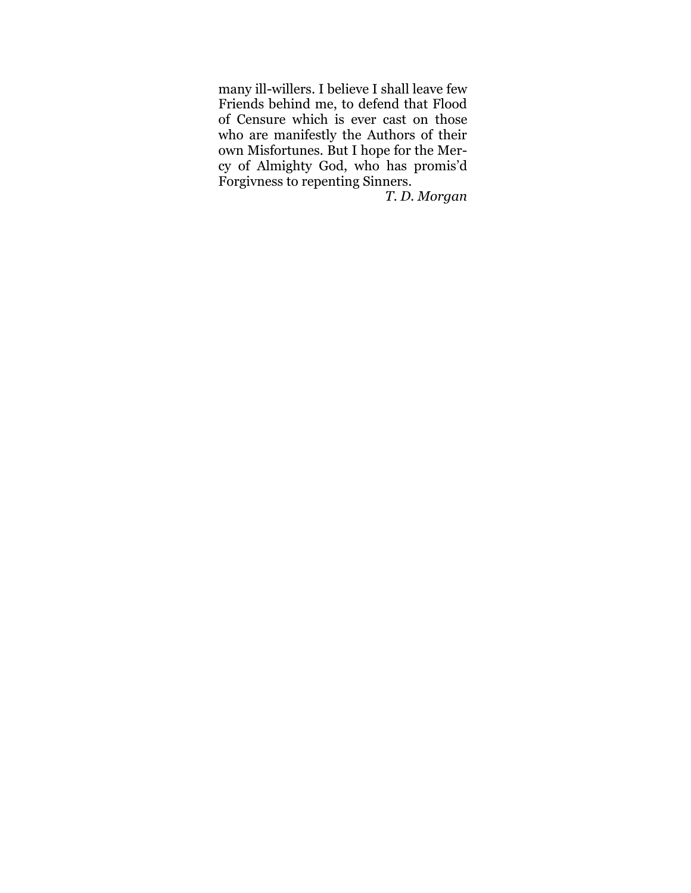many ill-willers. I believe I shall leave few Friends behind me, to defend that Flood of Censure which is ever cast on those who are manifestly the Authors of their own Misfortunes. But I hope for the Mercy of Almighty God, who has promis'd Forgivness to repenting Sinners.

*T. D. Morgan*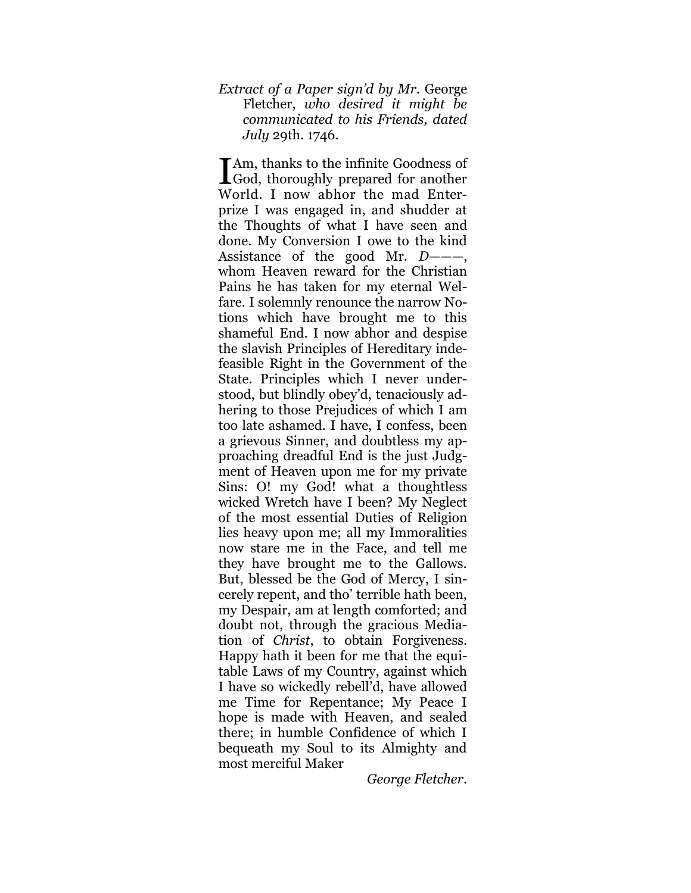*Extract of a Paper sign'd by Mr.* George Fletcher, *who desired it might be communicated to his Friends, dated July* 29th. 1746.

**T**Am, thanks to the infinite Goodness of I Am, thanks to the infinite Goodness of<br>God, thoroughly prepared for another World. I now abhor the mad Enterprize I was engaged in, and shudder at the Thoughts of what I have seen and done. My Conversion I owe to the kind Assistance of the good Mr. *D—*——, whom Heaven reward for the Christian Pains he has taken for my eternal Welfare. I solemnly renounce the narrow Notions which have brought me to this shameful End. I now abhor and despise the slavish Principles of Hereditary indefeasible Right in the Government of the State. Principles which I never understood, but blindly obey'd, tenaciously adhering to those Prejudices of which I am too late ashamed. I have, I confess, been a grievous Sinner, and doubtless my approaching dreadful End is the just Judgment of Heaven upon me for my private Sins: O! my God! what a thoughtless wicked Wretch have I been? My Neglect of the most essential Duties of Religion lies heavy upon me; all my Immoralities now stare me in the Face, and tell me they have brought me to the Gallows. But, blessed be the God of Mercy, I sincerely repent, and tho' terrible hath been, my Despair, am at length comforted; and doubt not, through the gracious Mediation of *Christ*, to obtain Forgiveness. Happy hath it been for me that the equitable Laws of my Country, against which I have so wickedly rebell'd, have allowed me Time for Repentance; My Peace I hope is made with Heaven, and sealed there; in humble Confidence of which I bequeath my Soul to its Almighty and most merciful Maker

*George Fletcher*.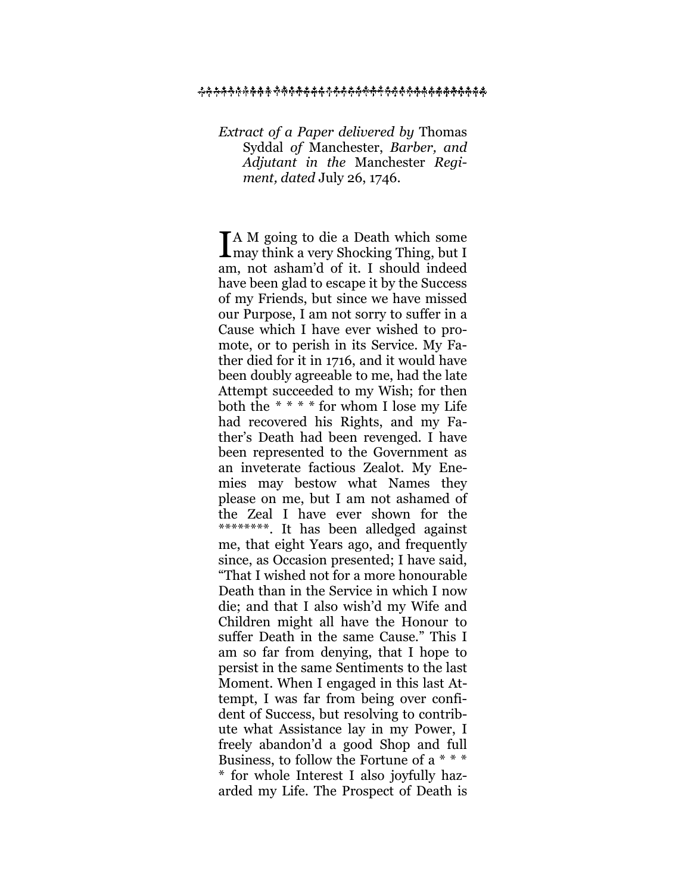#### ዹ<del>ጙ፞ቚቚቚቚቚቚቚቚቚቚቚቚቚቚቚቚቚቚቚቚቚቚቚ</del>ቚቚ<del>ቚቚ</del>ቚቚቚ<del>ቚቚቚቚ</del>

*Extract of a Paper delivered by* Thomas Syddal *of* Manchester, *Barber, and Adjutant in the* Manchester *Regiment, dated* July 26, 1746.

A M going to die a Death which some I A M going to die a Death which some may think a very Shocking Thing, but I am, not asham'd of it. I should indeed have been glad to escape it by the Success of my Friends, but since we have missed our Purpose, I am not sorry to suffer in a Cause which I have ever wished to promote, or to perish in its Service. My Father died for it in 1716, and it would have been doubly agreeable to me, had the late Attempt succeeded to my Wish; for then both the *\* \* \* \** for whom I lose my Life had recovered his Rights, and my Father's Death had been revenged. I have been represented to the Government as an inveterate factious Zealot. My Enemies may bestow what Names they please on me, but I am not ashamed of the Zeal I have ever shown for the \*\*\*\*\*\*\*\*. It has been alledged against me, that eight Years ago, and frequently since, as Occasion presented; I have said, "That I wished not for a more honourable Death than in the Service in which I now die; and that I also wish'd my Wife and Children might all have the Honour to suffer Death in the same Cause." This I am so far from denying, that I hope to persist in the same Sentiments to the last Moment. When I engaged in this last Attempt, I was far from being over confident of Success, but resolving to contribute what Assistance lay in my Power, I freely abandon'd a good Shop and full Business, to follow the Fortune of a \* \* \* \* for whole Interest I also joyfully hazarded my Life. The Prospect of Death is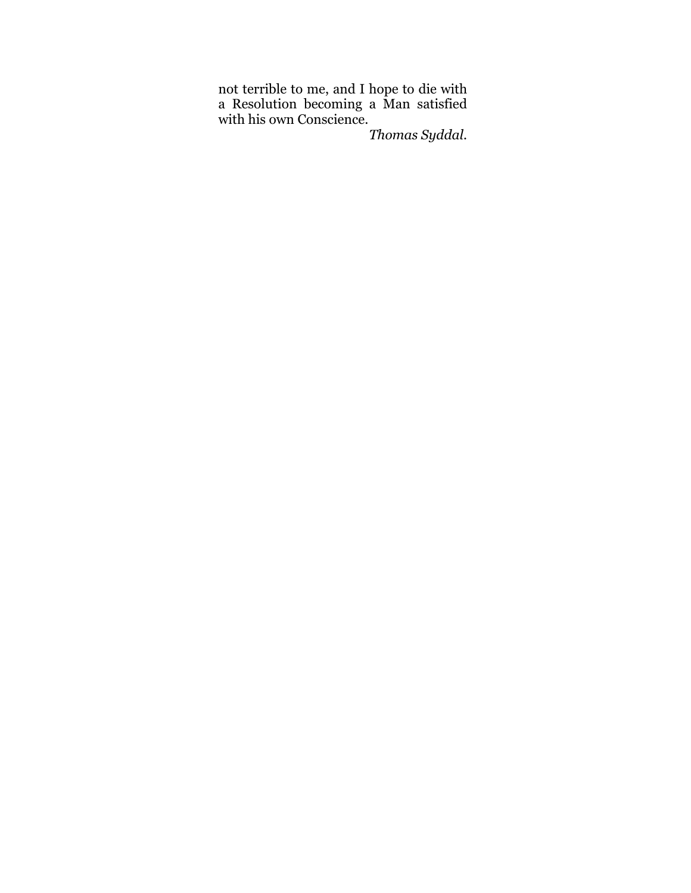not terrible to me, and I hope to die with a Resolution becoming a Man satisfied with his own Conscience.

*Thomas Syddal.*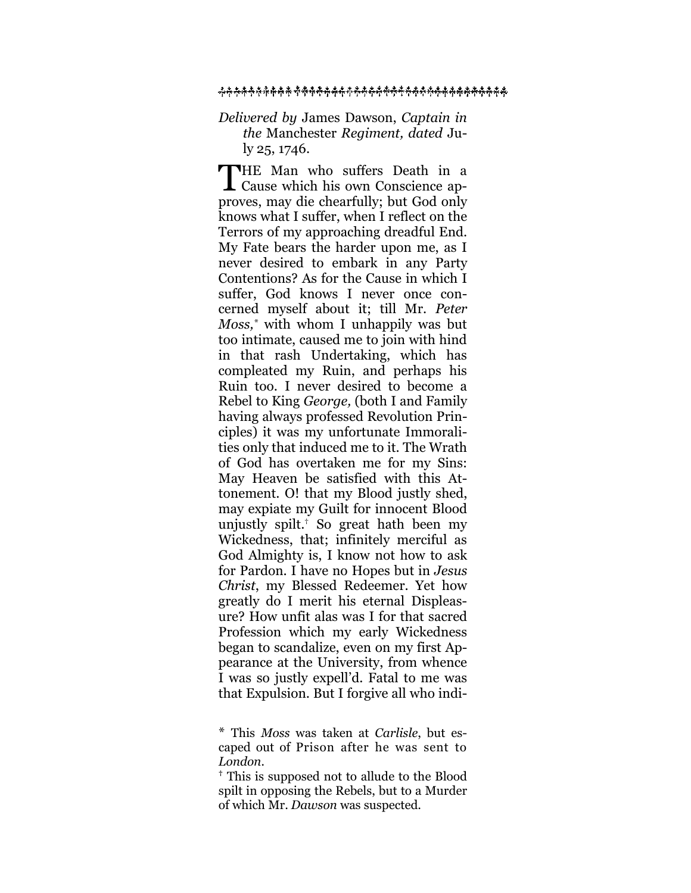#### ዹ፞ጙ<del>ኯ፞ኯ፞ኯኯኯኯኯኯኯኯኯኯኯኯኯኯኯኯኯኯኯኯኯኯኯ</del>ኯኯኯኯኯኯኯኯ<del>ኯ</del>

### *Delivered by* James Dawson, *Captain in the* Manchester *Regiment, dated* July 25, 1746.

**THE Man who suffers Death in a** THE Man who suffers Death in a<br>Cause which his own Conscience approves, may die chearfully; but God only knows what I suffer, when I reflect on the Terrors of my approaching dreadful End. My Fate bears the harder upon me, as I never desired to embark in any Party Contentions? As for the Cause in which I suffer, God knows I never once concerned myself about it; till Mr. *Peter Moss, \** with whom I unhappily was but too intimate, caused me to join with hind in that rash Undertaking, which has compleated my Ruin, and perhaps his Ruin too. I never desired to become a Rebel to King *George,* (both I and Family having always professed Revolution Principles) it was my unfortunate Immoralities only that induced me to it. The Wrath of God has overtaken me for my Sins: May Heaven be satisfied with this Attonement. O! that my Blood justly shed, may expiate my Guilt for innocent Blood unjustly spilt.† So great hath been my Wickedness, that; infinitely merciful as God Almighty is, I know not how to ask for Pardon. I have no Hopes but in *Jesus Christ*, my Blessed Redeemer. Yet how greatly do I merit his eternal Displeasure? How unfit alas was I for that sacred Profession which my early Wickedness began to scandalize, even on my first Appearance at the University, from whence I was so justly expell'd. Fatal to me was that Expulsion. But I forgive all who indi-

<sup>\*</sup> This *Moss* was taken at *Carlisle*, but escaped out of Prison after he was sent to *London.*

**<sup>†</sup>** This is supposed not to allude to the Blood spilt in opposing the Rebels, but to a Murder of which Mr. *Dawson* was suspected.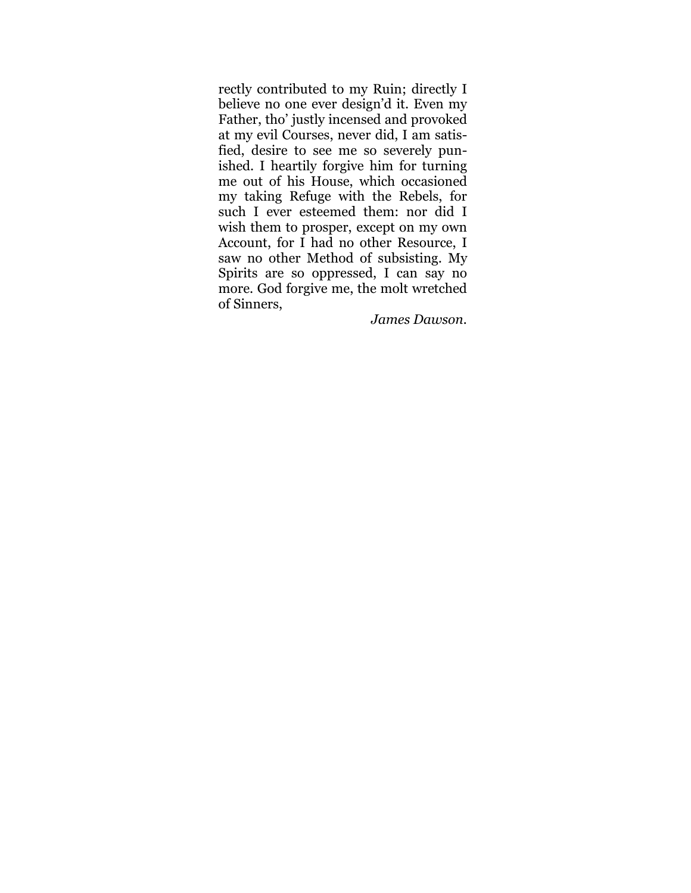rectly contributed to my Ruin; directly I believe no one ever design'd it. Even my Father, tho' justly incensed and provoked at my evil Courses, never did, I am satisfied, desire to see me so severely punished. I heartily forgive him for turning me out of his House, which occasioned my taking Refuge with the Rebels, for such I ever esteemed them: nor did I wish them to prosper, except on my own Account, for I had no other Resource, I saw no other Method of subsisting. My Spirits are so oppressed, I can say no more. God forgive me, the molt wretched of Sinners,

*James Dawson.*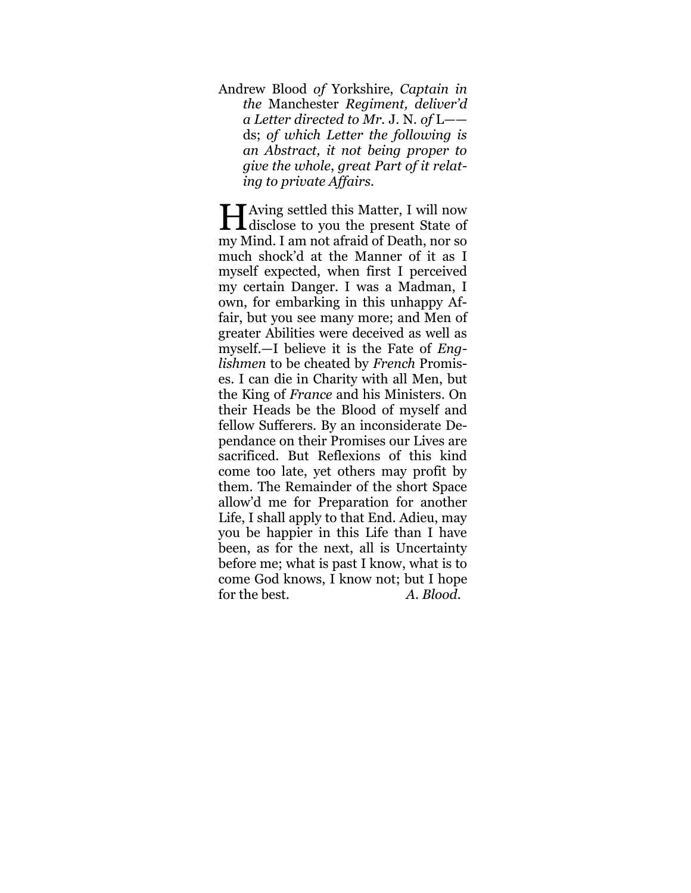Andrew Blood *of* Yorkshire, *Captain in the* Manchester *Regiment, deliver'd a Letter directed to Mr.* J. N. *of* L— ds; *of which Letter the following is an Abstract, it not being proper to give the whole*, *great Part of it relating to private Affairs.*

Having settled this Matter, I will now<br>disclose to you the present State of  $\blacksquare$   $\blacksquare$  disclose to you the present State of my Mind. I am not afraid of Death, nor so much shock'd at the Manner of it as I myself expected, when first I perceived my certain Danger. I was a Madman, I own, for embarking in this unhappy Affair, but you see many more; and Men of greater Abilities were deceived as well as myself.—I believe it is the Fate of *Englishmen* to be cheated by *French* Promises. I can die in Charity with all Men, but the King of *France* and his Ministers. On their Heads be the Blood of myself and fellow Sufferers. By an inconsiderate Dependance on their Promises our Lives are sacrificed. But Reflexions of this kind come too late, yet others may profit by them. The Remainder of the short Space allow'd me for Preparation for another Life, I shall apply to that End. Adieu, may you be happier in this Life than I have been, as for the next, all is Uncertainty before me; what is past I know, what is to come God knows, I know not; but I hope for the best. *A. Blood.*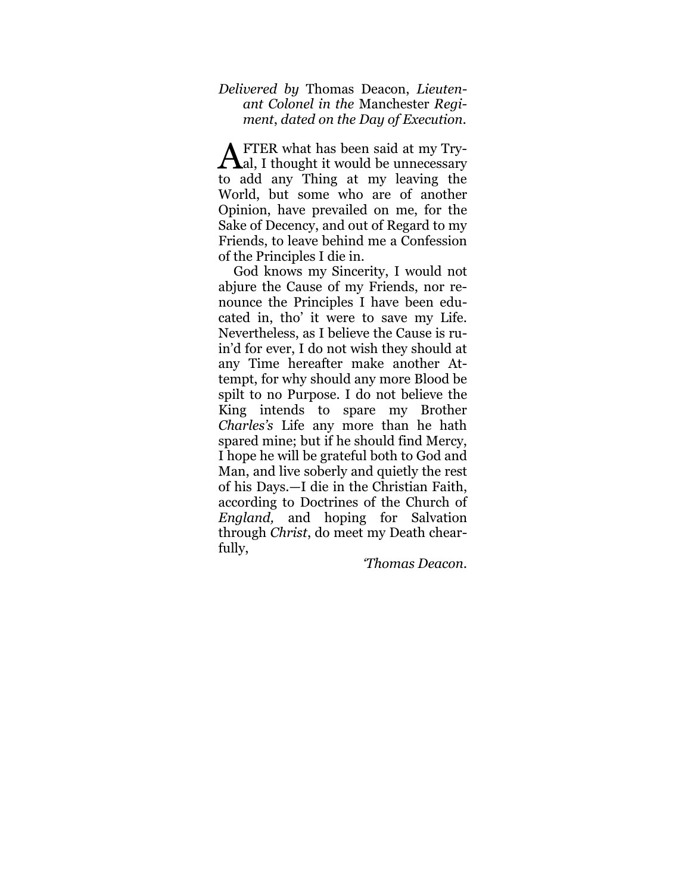### *Delivered by* Thomas Deacon, *Lieutenant Colonel in the* Manchester *Regiment*, *dated on the Day of Execution.*

FTER what has been said at my Try-**A**FTER what has been said at my Try-<br>al, I thought it would be unnecessary to add any Thing at my leaving the World, but some who are of another Opinion, have prevailed on me, for the Sake of Decency, and out of Regard to my Friends, to leave behind me a Confession of the Principles I die in.

God knows my Sincerity, I would not abjure the Cause of my Friends, nor renounce the Principles I have been educated in, tho' it were to save my Life. Nevertheless, as I believe the Cause is ruin'd for ever, I do not wish they should at any Time hereafter make another Attempt, for why should any more Blood be spilt to no Purpose. I do not believe the King intends to spare my Brother *Charles's* Life any more than he hath spared mine; but if he should find Mercy, I hope he will be grateful both to God and Man, and live soberly and quietly the rest of his Days.—I die in the Christian Faith, according to Doctrines of the Church of *England,* and hoping for Salvation through *Christ*, do meet my Death chearfully,

*'Thomas Deacon.*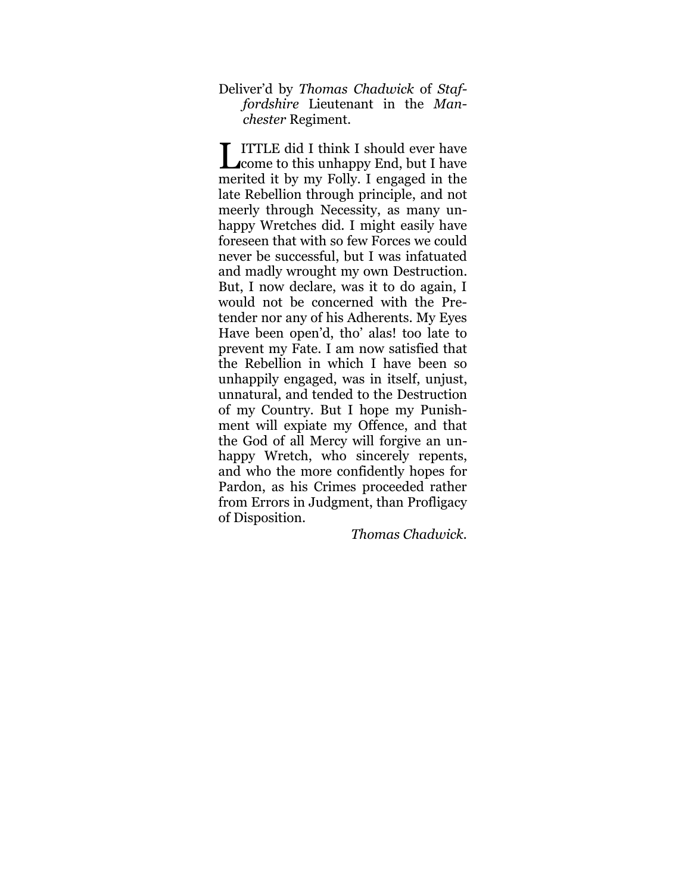Deliver'd by *Thomas Chadwick* of *Staffordshire* Lieutenant in the *Manchester* Regiment.

**ITTLE did I think I should ever have**<br> **Leome to this unhappy End, but I have L** come to this unhappy End, but I have merited it by my Folly. I engaged in the late Rebellion through principle, and not meerly through Necessity, as many unhappy Wretches did. I might easily have foreseen that with so few Forces we could never be successful, but I was infatuated and madly wrought my own Destruction. But, I now declare, was it to do again, I would not be concerned with the Pretender nor any of his Adherents. My Eyes Have been open'd, tho' alas! too late to prevent my Fate. I am now satisfied that the Rebellion in which I have been so unhappily engaged, was in itself, unjust, unnatural, and tended to the Destruction of my Country. But I hope my Punishment will expiate my Offence, and that the God of all Mercy will forgive an unhappy Wretch, who sincerely repents, and who the more confidently hopes for Pardon, as his Crimes proceeded rather from Errors in Judgment, than Profligacy of Disposition.

*Thomas Chadwick.*